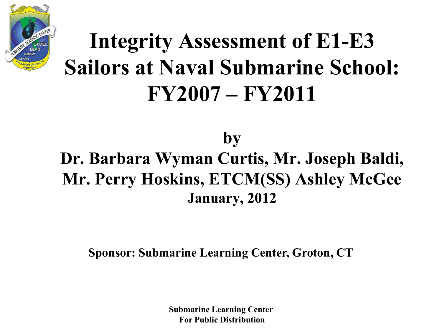

#### **Integrity Assessment of E1-E3 Sailors at Naval Submarine School: FY2007 – FY2011**

#### **by Dr. Barbara Wyman Curtis, Mr. Joseph Baldi, Mr. Perry Hoskins, ETCM(SS) Ashley McGee January, 2012**

**Sponsor: Submarine Learning Center, Groton, CT** 

**Submarine Learning Center For Public Distribution**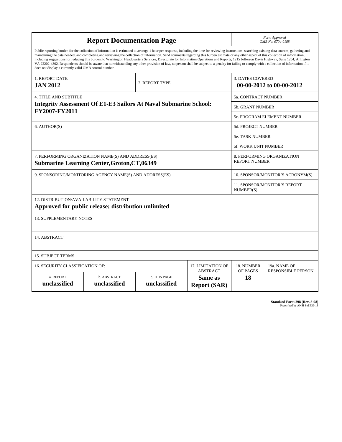| <b>Report Documentation Page</b>                                                                                                                                                                                                                                                                                                                                                                                                                                                                                                                                                                                                                                                                                                                                                                                                                                   |                                                     |                                           |                                                   |                                                     | Form Approved<br>OMB No. 0704-0188                 |  |  |
|--------------------------------------------------------------------------------------------------------------------------------------------------------------------------------------------------------------------------------------------------------------------------------------------------------------------------------------------------------------------------------------------------------------------------------------------------------------------------------------------------------------------------------------------------------------------------------------------------------------------------------------------------------------------------------------------------------------------------------------------------------------------------------------------------------------------------------------------------------------------|-----------------------------------------------------|-------------------------------------------|---------------------------------------------------|-----------------------------------------------------|----------------------------------------------------|--|--|
| Public reporting burden for the collection of information is estimated to average 1 hour per response, including the time for reviewing instructions, searching existing data sources, gathering and<br>maintaining the data needed, and completing and reviewing the collection of information. Send comments regarding this burden estimate or any other aspect of this collection of information,<br>including suggestions for reducing this burden, to Washington Headquarters Services, Directorate for Information Operations and Reports, 1215 Jefferson Davis Highway, Suite 1204, Arlington<br>VA 22202-4302. Respondents should be aware that notwithstanding any other provision of law, no person shall be subject to a penalty for failing to comply with a collection of information if it<br>does not display a currently valid OMB control number. |                                                     |                                           |                                                   |                                                     |                                                    |  |  |
| 1. REPORT DATE<br><b>JAN 2012</b>                                                                                                                                                                                                                                                                                                                                                                                                                                                                                                                                                                                                                                                                                                                                                                                                                                  |                                                     | 2. REPORT TYPE                            |                                                   | <b>3. DATES COVERED</b><br>00-00-2012 to 00-00-2012 |                                                    |  |  |
| <b>4. TITLE AND SUBTITLE</b>                                                                                                                                                                                                                                                                                                                                                                                                                                                                                                                                                                                                                                                                                                                                                                                                                                       |                                                     | 5a. CONTRACT NUMBER                       |                                                   |                                                     |                                                    |  |  |
| <b>Integrity Assessment Of E1-E3 Sailors At Naval Submarine School:</b><br>FY2007-FY2011                                                                                                                                                                                                                                                                                                                                                                                                                                                                                                                                                                                                                                                                                                                                                                           |                                                     |                                           |                                                   |                                                     | <b>5b. GRANT NUMBER</b>                            |  |  |
|                                                                                                                                                                                                                                                                                                                                                                                                                                                                                                                                                                                                                                                                                                                                                                                                                                                                    |                                                     |                                           |                                                   |                                                     | 5c. PROGRAM ELEMENT NUMBER                         |  |  |
| 6. AUTHOR(S)                                                                                                                                                                                                                                                                                                                                                                                                                                                                                                                                                                                                                                                                                                                                                                                                                                                       |                                                     |                                           |                                                   |                                                     | <b>5d. PROJECT NUMBER</b>                          |  |  |
|                                                                                                                                                                                                                                                                                                                                                                                                                                                                                                                                                                                                                                                                                                                                                                                                                                                                    |                                                     |                                           |                                                   |                                                     | 5e. TASK NUMBER                                    |  |  |
|                                                                                                                                                                                                                                                                                                                                                                                                                                                                                                                                                                                                                                                                                                                                                                                                                                                                    |                                                     |                                           |                                                   |                                                     | 5f. WORK UNIT NUMBER                               |  |  |
| 7. PERFORMING ORGANIZATION NAME(S) AND ADDRESS(ES)<br><b>Submarine Learning Center, Groton, CT, 06349</b>                                                                                                                                                                                                                                                                                                                                                                                                                                                                                                                                                                                                                                                                                                                                                          |                                                     |                                           |                                                   |                                                     | 8. PERFORMING ORGANIZATION<br><b>REPORT NUMBER</b> |  |  |
| 9. SPONSORING/MONITORING AGENCY NAME(S) AND ADDRESS(ES)                                                                                                                                                                                                                                                                                                                                                                                                                                                                                                                                                                                                                                                                                                                                                                                                            |                                                     |                                           |                                                   |                                                     | 10. SPONSOR/MONITOR'S ACRONYM(S)                   |  |  |
|                                                                                                                                                                                                                                                                                                                                                                                                                                                                                                                                                                                                                                                                                                                                                                                                                                                                    |                                                     | 11. SPONSOR/MONITOR'S REPORT<br>NUMBER(S) |                                                   |                                                     |                                                    |  |  |
| 12. DISTRIBUTION/AVAILABILITY STATEMENT                                                                                                                                                                                                                                                                                                                                                                                                                                                                                                                                                                                                                                                                                                                                                                                                                            | Approved for public release; distribution unlimited |                                           |                                                   |                                                     |                                                    |  |  |
| 13. SUPPLEMENTARY NOTES                                                                                                                                                                                                                                                                                                                                                                                                                                                                                                                                                                                                                                                                                                                                                                                                                                            |                                                     |                                           |                                                   |                                                     |                                                    |  |  |
| 14. ABSTRACT                                                                                                                                                                                                                                                                                                                                                                                                                                                                                                                                                                                                                                                                                                                                                                                                                                                       |                                                     |                                           |                                                   |                                                     |                                                    |  |  |
| <b>15. SUBJECT TERMS</b>                                                                                                                                                                                                                                                                                                                                                                                                                                                                                                                                                                                                                                                                                                                                                                                                                                           |                                                     |                                           |                                                   |                                                     |                                                    |  |  |
| 16. SECURITY CLASSIFICATION OF:                                                                                                                                                                                                                                                                                                                                                                                                                                                                                                                                                                                                                                                                                                                                                                                                                                    | 17. LIMITATION OF                                   | 18. NUMBER                                | 19a. NAME OF                                      |                                                     |                                                    |  |  |
| a. REPORT<br>unclassified                                                                                                                                                                                                                                                                                                                                                                                                                                                                                                                                                                                                                                                                                                                                                                                                                                          | b. ABSTRACT<br>unclassified                         | c. THIS PAGE<br>unclassified              | <b>ABSTRACT</b><br>Same as<br><b>Report (SAR)</b> | OF PAGES<br>18                                      | <b>RESPONSIBLE PERSON</b>                          |  |  |

**Standard Form 298 (Rev. 8-98)**<br>Prescribed by ANSI Std Z39-18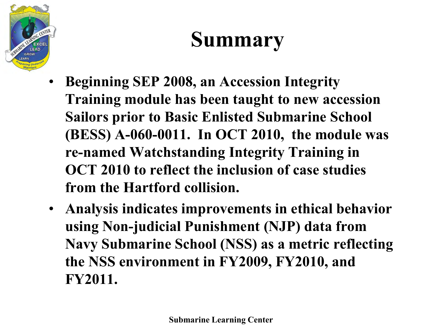

#### **Summary**

- **Beginning SEP 2008, an Accession Integrity Training module has been taught to new accession Sailors prior to Basic Enlisted Submarine School (BESS) A-060-0011. In OCT 2010, the module was re-named Watchstanding Integrity Training in OCT 2010 to reflect the inclusion of case studies from the Hartford collision.**
- **Analysis indicates improvements in ethical behavior using Non-judicial Punishment (NJP) data from Navy Submarine School (NSS) as a metric reflecting the NSS environment in FY2009, FY2010, and FY2011.**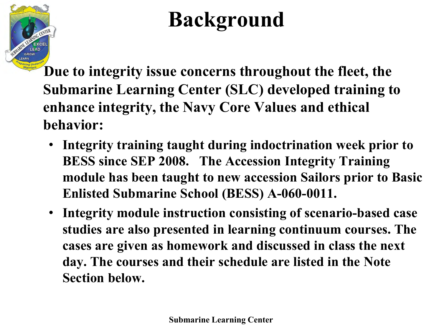

## **Background**

 **Due to integrity issue concerns throughout the fleet, the Submarine Learning Center (SLC) developed training to enhance integrity, the Navy Core Values and ethical behavior:** 

- **Integrity training taught during indoctrination week prior to BESS since SEP 2008. The Accession Integrity Training module has been taught to new accession Sailors prior to Basic Enlisted Submarine School (BESS) A-060-0011.**
- **Integrity module instruction consisting of scenario-based case studies are also presented in learning continuum courses. The cases are given as homework and discussed in class the next day. The courses and their schedule are listed in the Note Section below.**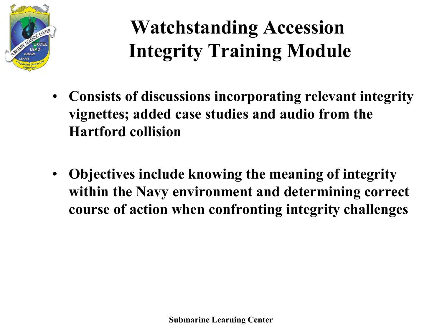

#### **Watchstanding Accession Integrity Training Module**

- **Consists of discussions incorporating relevant integrity vignettes; added case studies and audio from the Hartford collision**
- **Objectives include knowing the meaning of integrity within the Navy environment and determining correct course of action when confronting integrity challenges**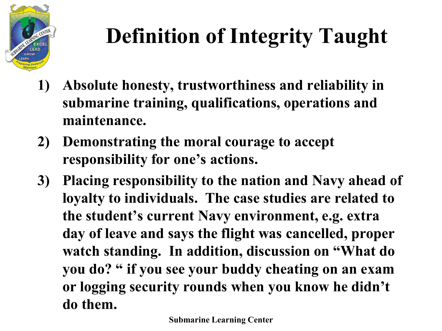

# **Definition of Integrity Taught**

- **1) Absolute honesty, trustworthiness and reliability in submarine training, qualifications, operations and maintenance.**
- **2) Demonstrating the moral courage to accept responsibility for one's actions.**
- **3) Placing responsibility to the nation and Navy ahead of loyalty to individuals. The case studies are related to the student's current Navy environment, e.g. extra day of leave and says the flight was cancelled, proper watch standing. In addition, discussion on "What do you do? " if you see your buddy cheating on an exam or logging security rounds when you know he didn't do them.**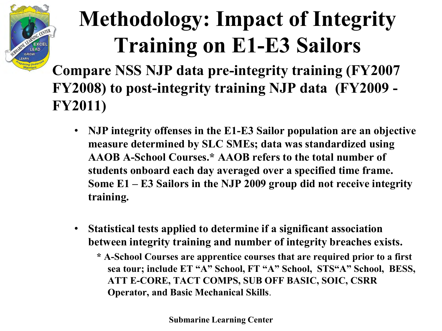

### **Methodology: Impact of Integrity Training on E1-E3 Sailors**

**Compare NSS NJP data pre-integrity training (FY2007 FY2008) to post-integrity training NJP data (FY2009 - FY2011)** 

- **NJP integrity offenses in the E1-E3 Sailor population are an objective measure determined by SLC SMEs; data was standardized using AAOB A-School Courses.\* AAOB refers to the total number of students onboard each day averaged over a specified time frame. Some E1 – E3 Sailors in the NJP 2009 group did not receive integrity training.**
- **Statistical tests applied to determine if a significant association between integrity training and number of integrity breaches exists.** 
	- **\* A-School Courses are apprentice courses that are required prior to a first sea tour; include ET "A" School, FT "A" School, STS"A" School, BESS, ATT E-CORE, TACT COMPS, SUB OFF BASIC, SOIC, CSRR Operator, and Basic Mechanical Skills**.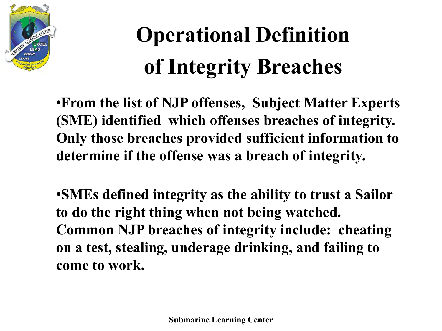

# **Operational Definition of Integrity Breaches**

•**From the list of NJP offenses, Subject Matter Experts (SME) identified which offenses breaches of integrity. Only those breaches provided sufficient information to determine if the offense was a breach of integrity.** 

•**SMEs defined integrity as the ability to trust a Sailor to do the right thing when not being watched. Common NJP breaches of integrity include: cheating on a test, stealing, underage drinking, and failing to come to work.**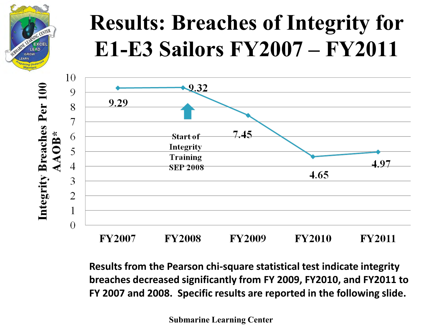

#### **Results: Breaches of Integrity for E1-E3 Sailors FY2007 – FY2011**



**Results from the Pearson chi-square statistical test indicate integrity breaches decreased significantly from FY 2009, FY2010, and FY2011 to FY 2007 and 2008. Specific results are reported in the following slide.**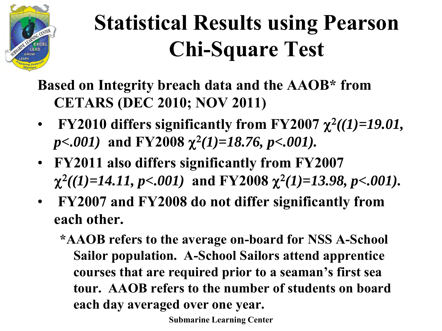

## **Statistical Results using Pearson Chi-Square Test**

**Based on Integrity breach data and the AAOB\* from CETARS (DEC 2010; NOV 2011)** 

- FY2010 differs significantly from FY2007  $\chi^2((1)=19.01,$  $p<.001$ ) and FY2008  $\chi^2(1)=18.76$ ,  $p<.001$ ).
- **FY2011 also differs significantly from FY2007**   $\chi^2((1)=14.11, p<.001)$  and FY2008  $\chi^2(1)=13.98, p<.001$ ).
- **FY2007 and FY2008 do not differ significantly from each other.** 
	- **\*AAOB refers to the average on-board for NSS A-School Sailor population. A-School Sailors attend apprentice courses that are required prior to a seaman's first sea tour. AAOB refers to the number of students on board each day averaged over one year.**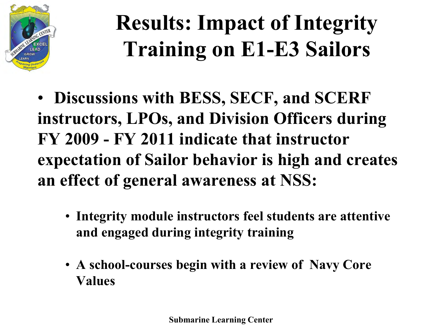

## **Results: Impact of Integrity Training on E1-E3 Sailors**

- **Discussions with BESS, SECF, and SCERF instructors, LPOs, and Division Officers during FY 2009 - FY 2011 indicate that instructor expectation of Sailor behavior is high and creates an effect of general awareness at NSS:** 
	- **Integrity module instructors feel students are attentive and engaged during integrity training**
	- **A school-courses begin with a review of Navy Core Values**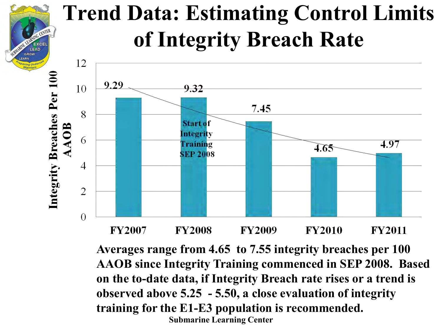#### **Trend Data: Estimating Control Limits of Integrity Breach Rate**

 $=$ **YCE LEAD** 



**Submarine Learning Center Averages range from 4.65 to 7.55 integrity breaches per 100 AAOB since Integrity Training commenced in SEP 2008. Based on the to-date data, if Integrity Breach rate rises or a trend is observed above 5.25 - 5.50, a close evaluation of integrity training for the E1-E3 population is recommended.**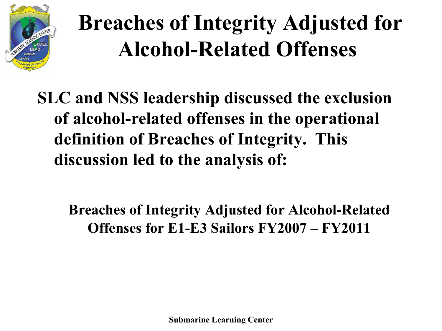

### **Breaches of Integrity Adjusted for Alcohol-Related Offenses**

**SLC and NSS leadership discussed the exclusion of alcohol-related offenses in the operational definition of Breaches of Integrity. This discussion led to the analysis of:** 

**Breaches of Integrity Adjusted for Alcohol-Related Offenses for E1-E3 Sailors FY2007 – FY2011**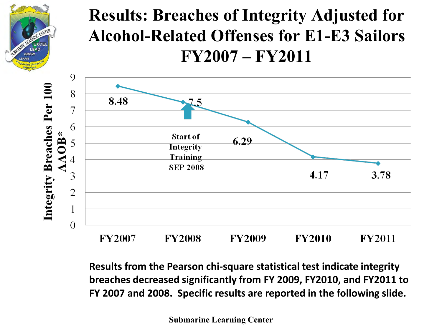

#### **Results: Breaches of Integrity Adjusted for Alcohol-Related Offenses for E1-E3 Sailors FY2007 – FY2011**



**Results from the Pearson chi-square statistical test indicate integrity breaches decreased significantly from FY 2009, FY2010, and FY2011 to FY 2007 and 2008. Specific results are reported in the following slide.**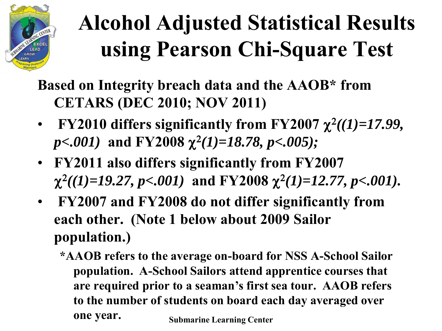

# **Alcohol Adjusted Statistical Results using Pearson Chi-Square Test**

**Based on Integrity breach data and the AAOB\* from CETARS (DEC 2010; NOV 2011)** 

- FY2010 differs significantly from FY2007  $\chi^2((1)=17.99,$  $p<.001$ ) and FY2008  $\chi^2(1)=18.78$ ,  $p<.005$ );
- **FY2011 also differs significantly from FY2007**   $\chi^2((1)=19.27, p<.001)$  and FY2008  $\chi^2(1)=12.77, p<.001$ ).
- **FY2007 and FY2008 do not differ significantly from each other. (Note 1 below about 2009 Sailor population.)** 
	- **\*AAOB refers to the average on-board for NSS A-School Sailor population. A-School Sailors attend apprentice courses that are required prior to a seaman's first sea tour. AAOB refers to the number of students on board each day averaged over one year. Submarine Learning Center**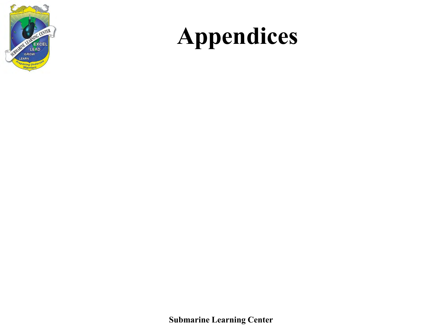

## **Appendices**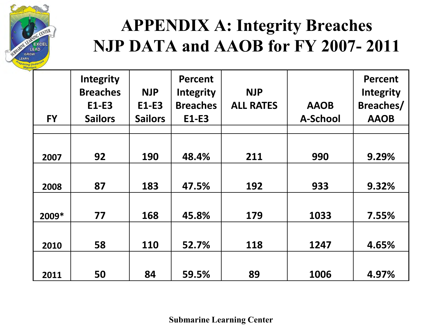

#### **APPENDIX A: Integrity Breaches NJP DATA and AAOB for FY 2007- 2011**

|           | Integrity<br><b>Breaches</b><br>E1-E3 | <b>NJP</b><br>E1-E3 | <b>Percent</b><br><b>Integrity</b><br><b>Breaches</b> | <b>NJP</b><br><b>ALL RATES</b> | <b>AAOB</b>     | <b>Percent</b><br><b>Integrity</b><br><b>Breaches/</b> |
|-----------|---------------------------------------|---------------------|-------------------------------------------------------|--------------------------------|-----------------|--------------------------------------------------------|
| <b>FY</b> | <b>Sailors</b>                        | <b>Sailors</b>      | E1-E3                                                 |                                | <b>A-School</b> | <b>AAOB</b>                                            |
|           |                                       |                     |                                                       |                                |                 |                                                        |
| 2007      | 92                                    | 190                 | 48.4%                                                 | 211                            | 990             | 9.29%                                                  |
|           |                                       |                     |                                                       |                                |                 |                                                        |
| 2008      | 87                                    | 183                 | 47.5%                                                 | 192                            | 933             | 9.32%                                                  |
|           |                                       |                     |                                                       |                                |                 |                                                        |
| 2009*     | 77                                    | 168                 | 45.8%                                                 | 179                            | 1033            | 7.55%                                                  |
|           |                                       |                     |                                                       |                                |                 |                                                        |
| 2010      | 58                                    | 110                 | 52.7%                                                 | 118                            | 1247            | 4.65%                                                  |
|           |                                       |                     |                                                       |                                |                 |                                                        |
| 2011      | 50                                    | 84                  | 59.5%                                                 | 89                             | 1006            | 4.97%                                                  |